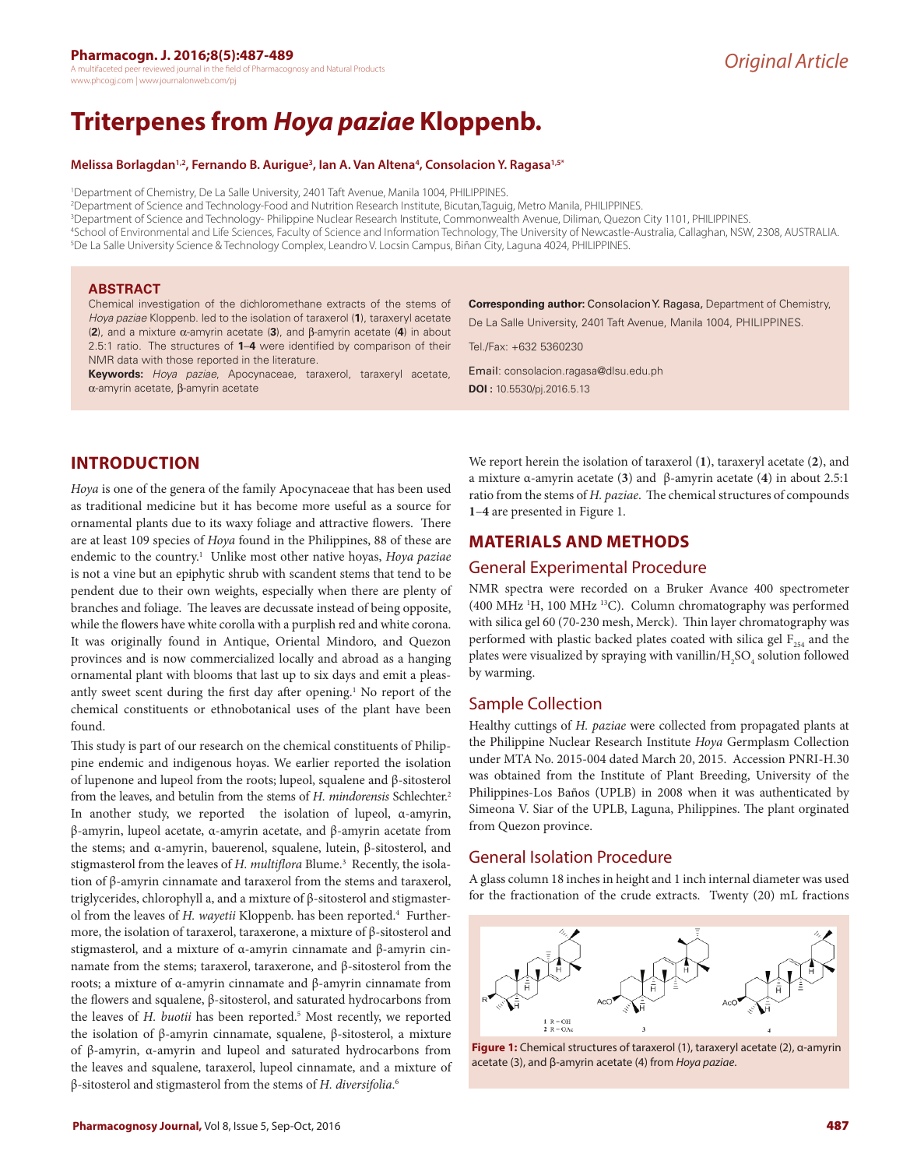A multifaceted peer reviewed journal in the field of Pharmacognosy and Natural Products www.phcogj.com | www.journalonweb.com/pj

# **Triterpenes from** *Hoya paziae* **Kloppenb.**

#### **Melissa Borlagdan1,2, Fernando B. Aurigue3 , Ian A. Van Altena4 , Consolacion Y. Ragasa1,5\***

1 Department of Chemistry, De La Salle University, 2401 Taft Avenue, Manila 1004, PHILIPPINES.

2 Department of Science and Technology-Food and Nutrition Research Institute, Bicutan,Taguig, Metro Manila, PHILIPPINES.

3 Department of Science and Technology- Philippine Nuclear Research Institute, Commonwealth Avenue, Diliman, Quezon City 1101, PHILIPPINES.

4 School of Environmental and Life Sciences, Faculty of Science and Information Technology, The University of Newcastle-Australia, Callaghan, NSW, 2308, AUSTRALIA. 5 De La Salle University Science & Technology Complex, Leandro V. Locsin Campus, Biñan City, Laguna 4024, PHILIPPINES.

#### **ABSTRACT**

Chemical investigation of the dichloromethane extracts of the stems of *Hoya paziae* Kloppenb. led to the isolation of taraxerol (**1**), taraxeryl acetate (**2**), and a mixture α-amyrin acetate (**3**), and β-amyrin acetate (**4**) in about 2.5:1 ratio. The structures of **1**–**4** were identified by comparison of their NMR data with those reported in the literature.

**Keywords:** *Hoya paziae*, Apocynaceae, taraxerol, taraxeryl acetate, α-amyrin acetate, β-amyrin acetate

**Corresponding author:** Consolacion Y. Ragasa, Department of Chemistry, De La Salle University, 2401 Taft Avenue, Manila 1004, PHILIPPINES.

Tel./Fax: +632 5360230

Email: consolacion.ragasa@dlsu.edu.ph **DOI :** 10.5530/pj.2016.5.13

# **INTRODUCTION**

*Hoya* is one of the genera of the family Apocynaceae that has been used as traditional medicine but it has become more useful as a source for ornamental plants due to its waxy foliage and attractive flowers. There are at least 109 species of *Hoya* found in the Philippines, 88 of these are endemic to the country.<sup>1</sup> Unlike most other native hoyas, *Hoya paziae* is not a vine but an epiphytic shrub with scandent stems that tend to be pendent due to their own weights, especially when there are plenty of branches and foliage. The leaves are decussate instead of being opposite, while the flowers have white corolla with a purplish red and white corona. It was originally found in Antique, Oriental Mindoro, and Quezon provinces and is now commercialized locally and abroad as a hanging ornamental plant with blooms that last up to six days and emit a pleasantly sweet scent during the first day after opening.<sup>1</sup> No report of the chemical constituents or ethnobotanical uses of the plant have been found.

This study is part of our research on the chemical constituents of Philippine endemic and indigenous hoyas. We earlier reported the isolation of lupenone and lupeol from the roots; lupeol, squalene and β-sitosterol from the leaves, and betulin from the stems of *H. mindorensis* Schlechter.2 In another study, we reported the isolation of lupeol, α-amyrin, β-amyrin, lupeol acetate, α-amyrin acetate, and β-amyrin acetate from the stems; and α-amyrin, bauerenol, squalene, lutein, β-sitosterol, and stigmasterol from the leaves of H. multiflora Blume.<sup>3</sup> Recently, the isolation of β-amyrin cinnamate and taraxerol from the stems and taraxerol, triglycerides, chlorophyll a, and a mixture of β-sitosterol and stigmasterol from the leaves of *H. wayetii* Kloppenb. has been reported.<sup>4</sup> Furthermore, the isolation of taraxerol, taraxerone, a mixture of β-sitosterol and stigmasterol, and a mixture of α-amyrin cinnamate and β-amyrin cinnamate from the stems; taraxerol, taraxerone, and β-sitosterol from the roots; a mixture of α-amyrin cinnamate and β-amyrin cinnamate from the flowers and squalene, β-sitosterol, and saturated hydrocarbons from the leaves of *H. buotii* has been reported.<sup>5</sup> Most recently, we reported the isolation of β-amyrin cinnamate, squalene, β-sitosterol, a mixture of β-amyrin, α-amyrin and lupeol and saturated hydrocarbons from the leaves and squalene, taraxerol, lupeol cinnamate, and a mixture of β-sitosterol and stigmasterol from the stems of *H. diversifolia*. 6

We report herein the isolation of taraxerol (**1**), taraxeryl acetate (**2**), and a mixture α-amyrin acetate (**3**) and β-amyrin acetate (**4**) in about 2.5:1 ratio from the stems of *H. paziae*. The chemical structures of compounds **1**–**4** are presented in Figure 1.

# **MATERIALS AND METHODS**

## General Experimental Procedure

NMR spectra were recorded on a Bruker Avance 400 spectrometer (400 MHz <sup>1</sup>H, 100 MHz <sup>13</sup>C). Column chromatography was performed with silica gel 60 (70-230 mesh, Merck). Thin layer chromatography was performed with plastic backed plates coated with silica gel  $F_{254}$  and the plates were visualized by spraying with vanillin/H<sub>2</sub>SO<sub>4</sub> solution followed by warming.

## Sample Collection

Healthy cuttings of *H. paziae* were collected from propagated plants at the Philippine Nuclear Research Institute *Hoya* Germplasm Collection under MTA No. 2015-004 dated March 20, 2015. Accession PNRI-H.30 was obtained from the Institute of Plant Breeding, University of the Philippines-Los Baños (UPLB) in 2008 when it was authenticated by Simeona V. Siar of the UPLB, Laguna, Philippines. The plant orginated from Quezon province.

## General Isolation Procedure

A glass column 18 inches in height and 1 inch internal diameter was used for the fractionation of the crude extracts. Twenty (20) mL fractions



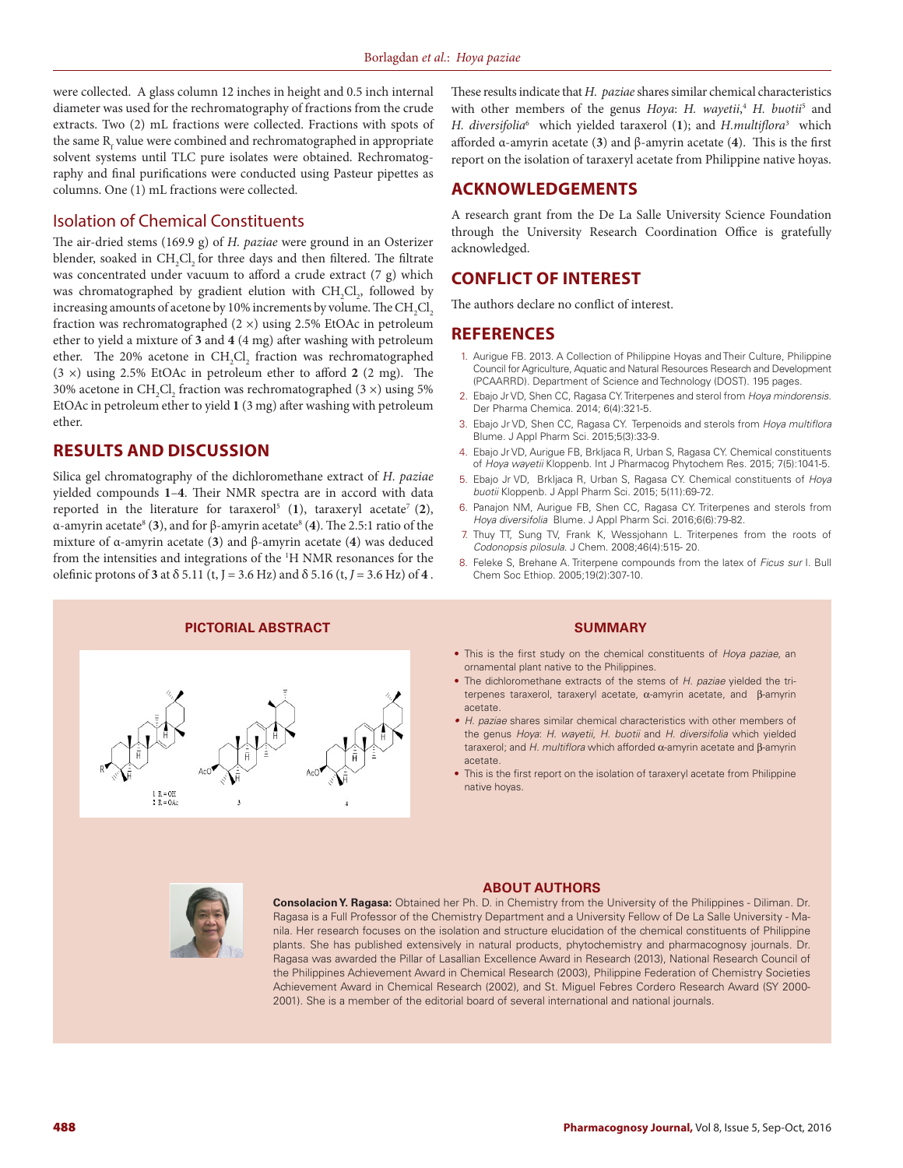were collected. A glass column 12 inches in height and 0.5 inch internal diameter was used for the rechromatography of fractions from the crude extracts. Two (2) mL fractions were collected. Fractions with spots of the same  $\mathrm R_{\mathrm f}$  value were combined and rechromatographed in appropriate solvent systems until TLC pure isolates were obtained. Rechromatography and final purifications were conducted using Pasteur pipettes as columns. One (1) mL fractions were collected.

## Isolation of Chemical Constituents

The air-dried stems (169.9 g) of *H. paziae* were ground in an Osterizer blender, soaked in  $\text{CH}_{2}\text{Cl}_{2}$  for three days and then filtered. The filtrate was concentrated under vacuum to afford a crude extract (7 g) which was chromatographed by gradient elution with  $CH_2Cl_2$ , followed by increasing amounts of acetone by 10% increments by volume. The  $\mathrm{CH}_{_2}\mathrm{Cl}_{_2}$ fraction was rechromatographed  $(2 \times)$  using 2.5% EtOAc in petroleum ether to yield a mixture of **3** and **4** (4 mg) after washing with petroleum ether. The 20% acetone in CH<sub>2</sub>Cl<sub>2</sub> fraction was rechromatographed (3 ×) using 2.5% EtOAc in petroleum ether to afford **2** (2 mg). The 30% acetone in CH<sub>2</sub>Cl<sub>2</sub> fraction was rechromatographed (3  $\times$ ) using 5% EtOAc in petroleum ether to yield **1** (3 mg) after washing with petroleum ether.

## **RESULTS AND DISCUSSION**

Silica gel chromatography of the dichloromethane extract of *H. paziae* yielded compounds **1**–**4**. Their NMR spectra are in accord with data reported in the literature for taraxerol<sup>5</sup> (1), taraxeryl acetate<sup>7</sup> (2), α-amyrin acetate8 (**3**), and for β-amyrin acetate8 (**4**). The 2.5:1 ratio of the mixture of α-amyrin acetate (**3**) and β-amyrin acetate (**4**) was deduced from the intensities and integrations of the <sup>1</sup>H NMR resonances for the olefinic protons of **3** at  $\delta$  5.11 (t, J = 3.6 Hz) and  $\delta$  5.16 (t, J = 3.6 Hz) of **4**.

These results indicate that *H. paziae* shares similar chemical characteristics with other members of the genus *Hoya*: *H. wayetii*,<sup>4</sup> *H. buotii*<sup>5</sup> and *H. diversifolia*<sup>6</sup> which yielded taraxerol (**1**); and *H.multiflora*<sup>3</sup> which afforded α-amyrin acetate (**3**) and β-amyrin acetate (**4**). This is the first report on the isolation of taraxeryl acetate from Philippine native hoyas.

## **ACKNOWLEDGEMENTS**

A research grant from the De La Salle University Science Foundation through the University Research Coordination Office is gratefully acknowledged.

# **CONFLICT OF INTEREST**

The authors declare no conflict of interest.

#### **REFERENCES**

- 1. Aurigue FB. 2013. A Collection of Philippine Hoyas and Their Culture, Philippine Council for Agriculture, Aquatic and Natural Resources Research and Development (PCAARRD). Department of Science and Technology (DOST). 195 pages.
- 2. Ebajo Jr VD, Shen CC, Ragasa CY. Triterpenes and sterol from *Hoya mindorensis*. Der Pharma Chemica. 2014; 6(4):321-5.
- 3. Ebajo Jr VD, Shen CC, Ragasa CY. Terpenoids and sterols from *Hoya multiflora* Blume. J Appl Pharm Sci. 2015;5(3):33-9.
- 4. Ebajo Jr VD, Aurigue FB, Brkljaca R, Urban S, Ragasa CY. Chemical constituents of *Hoya wayetii* Kloppenb. Int J Pharmacog Phytochem Res. 2015; 7(5):1041-5.
- 5. Ebajo Jr VD, Brkljaca R, Urban S, Ragasa CY. Chemical constituents of *Hoya buotii* Kloppenb. J Appl Pharm Sci. 2015; 5(11):69-72.
- 6. Panajon NM, Aurigue FB, Shen CC, Ragasa CY. Triterpenes and sterols from *Hoya diversifolia* Blume. J Appl Pharm Sci. 2016;6(6):79-82.
- 7. Thuy TT, Sung TV, Frank K, Wessjohann L. Triterpenes from the roots of *Codonopsis pilosula*. J Chem. 2008;46(4):515- 20.
- 8. Feleke S, Brehane A. Triterpene compounds from the latex of *Ficus sur* I. Bull Chem Soc Ethiop. 2005;19(2):307-10.

**PICTORIAL ABSTRACT**



#### **SUMMARY**

- This is the first study on the chemical constituents of *Hoya paziae*, an ornamental plant native to the Philippines.
- The dichloromethane extracts of the stems of *H. paziae* yielded the triterpenes taraxerol, taraxeryl acetate, α-amyrin acetate, and β-amyrin acetate.
- *• H. paziae* shares similar chemical characteristics with other members of the genus *Hoya*: *H. wayetii*, *H. buotii* and *H. diversifolia* which yielded taraxerol; and *H. multiflora* which afforded α-amyrin acetate and β-amyrin acetate.
- This is the first report on the isolation of taraxeryl acetate from Philippine native hoyas.



#### **ABOUT AUTHORS**

**Consolacion Y. Ragasa:** Obtained her Ph. D. in Chemistry from the University of the Philippines - Diliman. Dr. Ragasa is a Full Professor of the Chemistry Department and a University Fellow of De La Salle University - Manila. Her research focuses on the isolation and structure elucidation of the chemical constituents of Philippine plants. She has published extensively in natural products, phytochemistry and pharmacognosy journals. Dr. Ragasa was awarded the Pillar of Lasallian Excellence Award in Research (2013), National Research Council of the Philippines Achievement Award in Chemical Research (2003), Philippine Federation of Chemistry Societies Achievement Award in Chemical Research (2002), and St. Miguel Febres Cordero Research Award (SY 2000- 2001). She is a member of the editorial board of several international and national journals.